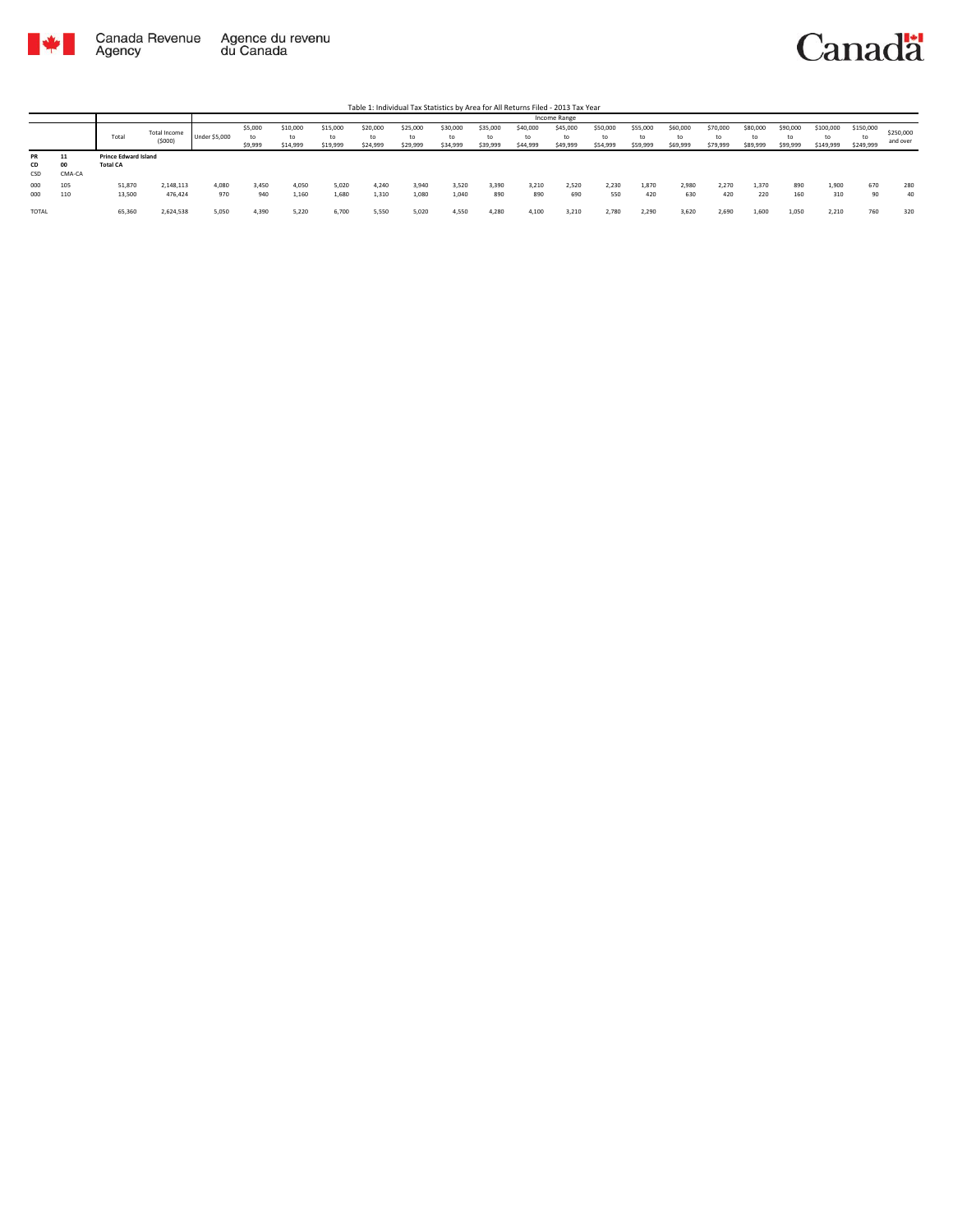

Table 1: Individual Tax Statistics by Area for All Returns Filed - 2013 Tax Year

|                 |                  |                                                                |                      |               | Income Range             |                            |                            |                            |                            |                            |                            |                            |                      |                            |                            |                            |                            |                            |                            |                              |                              |                       |
|-----------------|------------------|----------------------------------------------------------------|----------------------|---------------|--------------------------|----------------------------|----------------------------|----------------------------|----------------------------|----------------------------|----------------------------|----------------------------|----------------------|----------------------------|----------------------------|----------------------------|----------------------------|----------------------------|----------------------------|------------------------------|------------------------------|-----------------------|
|                 |                  | Total Income<br>Total<br>(5000)<br><b>Prince Edward Island</b> |                      | Under \$5,000 | \$5,000<br>to<br>\$9,999 | \$10,000<br>to<br>\$14,999 | \$15,000<br>to<br>\$19,999 | \$20,000<br>to<br>\$24,999 | \$25,000<br>to<br>\$29,999 | \$30,000<br>to<br>\$34,999 | \$35,000<br>to<br>\$39,999 | \$40,000<br>to<br>\$44,999 | \$45,000<br>\$49,999 | \$50,000<br>to<br>\$54,999 | \$55,000<br>to<br>\$59,999 | \$60,000<br>ta<br>\$69,999 | \$70,000<br>to<br>\$79,999 | \$80,000<br>to<br>\$89,999 | \$90,000<br>to<br>\$99,999 | \$100,000<br>to<br>\$149,999 | \$150,000<br>tc<br>\$249,999 | \$250,000<br>and over |
| PR<br>CD<br>CSD | <br>00<br>CMA-CA | <b>Total CA</b>                                                |                      |               |                          |                            |                            |                            |                            |                            |                            |                            |                      |                            |                            |                            |                            |                            |                            |                              |                              |                       |
| 000<br>000      | 105<br>110       | 51,870<br>13,500                                               | 2,148,113<br>476,424 | 4,080<br>970  | 3,450<br>940             | 4,050<br>1.160             | 5,020<br>1,680             | 4.240<br>1.310             | 3,940<br>1.080             | 3,520<br>1,040             | 3,390<br>890               | 3,210<br>890               | 2,520<br>690         | 2,230<br>550               | 1,870<br>420               | 2,980<br>630               | 2,270<br>420               | 1,370<br>220               | 890<br>160                 | 1,900<br>310                 | 670<br>0 <sup>n</sup>        | 280<br>40             |
| TOTAL           |                  | 65,360                                                         | 2,624,538            | 5,050         | 4,390                    | 5,220                      | 6,700                      | 5,550                      | 5,020                      | 4,550                      | 4,280                      | 4,100                      | 3,210                | 2,780                      | 2,290                      | 3,620                      | 2,690                      | 1,600                      | 1,050                      | 2,210                        | 760                          | 320                   |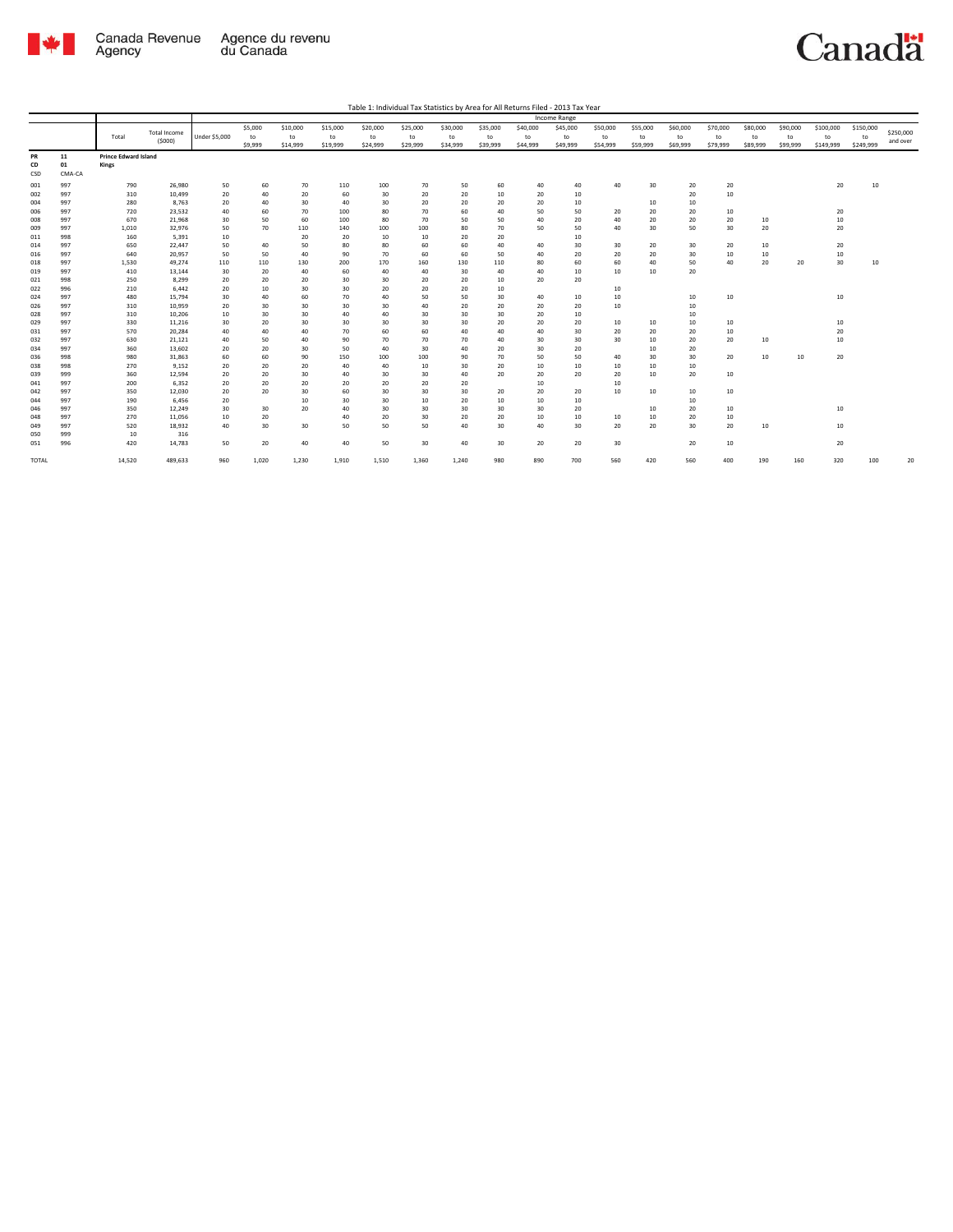

Canadä

Table 1: Individual Tax Statistics by Area for All Returns Filed - 2013 Tax Year

|              |            |                             |                     |               |          |          |          |          |          |          |          |          | <b>Income Range</b> |          |                  |          |          |          |          |           |           |           |
|--------------|------------|-----------------------------|---------------------|---------------|----------|----------|----------|----------|----------|----------|----------|----------|---------------------|----------|------------------|----------|----------|----------|----------|-----------|-----------|-----------|
|              |            |                             | <b>Total Income</b> |               | \$5,000  | \$10,000 | \$15,000 | \$20,000 | \$25,000 | \$30,000 | \$35,000 | \$40,000 | \$45,000            | \$50,000 | \$55,000         | \$60,000 | \$70,000 | \$80,000 | \$90,000 | \$100,000 | \$150,000 | \$250,000 |
|              |            | Total                       |                     | Under \$5,000 | to       | to       | to       | to       | to       | to       | to       | to       | to                  | to       | to               | to       | to       | to       | to       | to        | to        |           |
|              |            |                             | (5000)              |               | \$9,999  | \$14,999 | \$19,999 | \$24,999 | \$29,999 | \$34,999 | \$39,999 | \$44,999 | \$49,999            | \$54,999 | \$59,999         | \$69,999 | \$79,999 | \$89,999 | \$99,999 | \$149,999 | \$249,999 | and over  |
| PR           | 11         | <b>Prince Edward Island</b> |                     |               |          |          |          |          |          |          |          |          |                     |          |                  |          |          |          |          |           |           |           |
| CD           | 01         | Kings                       |                     |               |          |          |          |          |          |          |          |          |                     |          |                  |          |          |          |          |           |           |           |
| CSD          | CMA-CA     |                             |                     |               |          |          |          |          |          |          |          |          |                     |          |                  |          |          |          |          |           |           |           |
|              |            |                             |                     |               |          |          |          |          |          |          |          |          |                     |          |                  |          |          |          |          |           |           |           |
| 001          | 997        | 790                         | 26,980              | 50            | 60       | 70       | 110      | 100      | 70       | 50       | 60       | 40       | 40                  | 40       | 30               | 20       | 20       |          |          | 20        | 10        |           |
| 002          | 997        | 310                         | 10,499              | 20            | 40       | 20       | 60       | 30       | 20       | 20       | 10       | 20       | 10                  |          |                  | 20       | 10       |          |          |           |           |           |
| 004          | 997        | 280                         | 8,763               | 20            | 40       | 30       | 40       | 30       | 20       | 20       | 20       | 20       | 10                  |          | 10               | 10       |          |          |          |           |           |           |
| 006          | 997        | 720                         | 23,532              | 40            | 60       | 70       | 100      | 80       | 70       | 60       | 40       | 50       | 50                  | 20       | 20               | 20       | 10       |          |          | 20        |           |           |
| 008          | 997        | 670                         | 21,968              | 30            | 50       | 60       | 100      | 80       | 70       | 50       | 50       | 40       | 20                  | 40       | 20               | 20       | 20       | 10       |          | 10        |           |           |
| 009          | 997        | 1,010                       | 32,976              | 50            | 70       | 110      | 140      | 100      | 100      | 80       | 70       | 50       | 50                  | 40       | 30               | 50       | 30       | 20       |          | 20        |           |           |
| 011          | 998        | 160                         | 5,391               | 10            |          | 20       | 20       | 10       | 10       | 20       | 20       |          | 10                  |          |                  |          |          |          |          |           |           |           |
| 014          | 997        | 650                         | 22.447              | 50            | 40       | 50       | 80       | 80       | 60       | 60       | 40       | 40       | 30                  | 30       | 20               | 30       | 20       | 10       |          | 20        |           |           |
| 016          | 997        | 640                         | 20,957              | 50            | 50       | 40       | 90       | 70       | 60       | 60       | 50       | 40       | 20                  | 20       | 20               | 30       | 10       | 10       |          | 10        |           |           |
| 018          | 997        | 1,530                       | 49.274              | 110           | 110      | 130      | 200      | 170      | 160      | 130      | 110      | 80       | 60                  | 60       | 40               | 50       | 40       | 20       | 20       | 30        | 10        |           |
| 019          | 997        | 410                         | 13,144              | 30            | 20       | 40       | 60       | 40       | 40       | 30       | 40       | 40       | 10                  | 10       | 10               | 20       |          |          |          |           |           |           |
| 021          | 998        | 250                         | 8,299               | 20            | 20       | 20       | 30       | 30       | 20       | 20       | 10       | 20       | 20                  |          |                  |          |          |          |          |           |           |           |
| 022          | 996        | 210                         | 6.442               | 20            | 10       | 30       | 30       | 20       | 20       | 20       | 10       |          |                     | 10       |                  |          |          |          |          |           |           |           |
| 024          | 997        | 480                         | 15,794              | 30            | 40       | 60       | 70       | 40       | 50       | 50       | 30       | 40       | 10                  | 10       |                  | 10       | 10       |          |          | 10        |           |           |
| 026          | 997        | 310                         | 10,959              | 20            | 30       | 30       | 30       | 30       | 40       | 20       | 20       | 20       | 20                  | 10       |                  | 10       |          |          |          |           |           |           |
| 028          | 997<br>997 | 310<br>330                  | 10.206              | 10<br>30      | 30<br>20 | 30       | 40       | 40<br>30 | 30       | 30<br>30 | 30<br>20 | 20<br>20 | 10<br>20            | 10       | 10               | 10<br>10 | 10       |          |          | 10        |           |           |
| 029          |            |                             | 11,216              |               |          | 30       | 30       |          | 30       |          |          |          |                     |          |                  |          |          |          |          |           |           |           |
| 031          | 997        | 570                         | 20.284              | 40            | 40       | 40       | 70       | 60       | 60       | 40       | 40       | 40       | 30                  | 20       | 20               | 20       | 10       |          |          | 20        |           |           |
| 032          | 997        | 630                         | 21,121              | 40            | 50       | 40       | 90       | 70       | 70       | 70       | 40       | 30       | 30                  | 30       | 10               | 20       | 20       | 10       |          | 10        |           |           |
| 034          | 997        | 360                         | 13,602              | 20            | 20       | 30       | 50       | 40       | 30       | 40       | 20       | 30       | 20                  |          | 10 <sub>10</sub> | 20       |          |          |          |           |           |           |
| 036          | 998        | 980                         | 31,863              | 60            | 60       | 90       | 150      | 100      | 100      | 90       | 70       | 50       | 50                  | 40       | 30               | 30       | 20       | 10       | 10       | 20        |           |           |
| 038          | 998        | 270                         | 9,152               | 20            | 20       | 20       | 40       | 40       | 10       | 30       | 20       | 10       | 10                  | 10       | 10               | 10       |          |          |          |           |           |           |
| 039          | 999        | 360                         | 12,594              | 20            | 20       | 30       | 40       | 30       | 30       | 40       | 20       | 20       | 20                  | 20       | 10               | 20       | 10       |          |          |           |           |           |
| 041          | 997        | 200                         | 6.352               | 20            | 20       | 20       | 20       | 20       | 20       | 20       |          | 10       |                     | 10       |                  |          |          |          |          |           |           |           |
| 042          | 997        | 350                         | 12,030              | 20            | 20       | 30       | 60       | 30       | 30       | 30       | 20       | 20       | 20                  | 10       | 10               | 10       | 10       |          |          |           |           |           |
| 044          | 997        | 190                         | 6.456               | 20            |          | 10       | 30       | 30       | 10       | 20       | 10       | 10       | 10                  |          |                  | 10       |          |          |          |           |           |           |
| 046          | 997        | 350                         | 12,249              | 30            | 30       | 20       | 40       | 30       | 30       | 30       | 30       | 30       | 20                  |          | 10               | 20       | 10       |          |          | 10        |           |           |
| 048          | 997        | 270                         | 11,056              | 10            | 20       |          | 40       | 20       | 30       | 20       | 20       | 10       | 10                  | 10       | 10               | 20       | 10       |          |          |           |           |           |
| 049          | 997        | 520                         | 18.932              | 40            | 30       | 30       | 50       | 50       | 50       | 40       | 30       | 40       | 30                  | 20       | 20               | 30       | 20       | 10       |          | 10        |           |           |
| 050          | 999        | 10                          | 316                 |               |          |          |          |          |          |          |          |          |                     |          |                  |          |          |          |          |           |           |           |
| 051          | 996        | 420                         | 14,783              | 50            | 20       | 40       | 40       | 50       | 30       | 40       | 30       | 20       | 20                  | 30       |                  | 20       | 10       |          |          | 20        |           |           |
| <b>TOTAL</b> |            | 14,520                      | 489,633             | 960           | 1,020    | 1,230    | 1,910    | 1,510    | 1,360    | 1,240    | 980      | 890      | 700                 | 560      | 420              | 560      | 400      | 190      | 160      | 320       | 100       | 20        |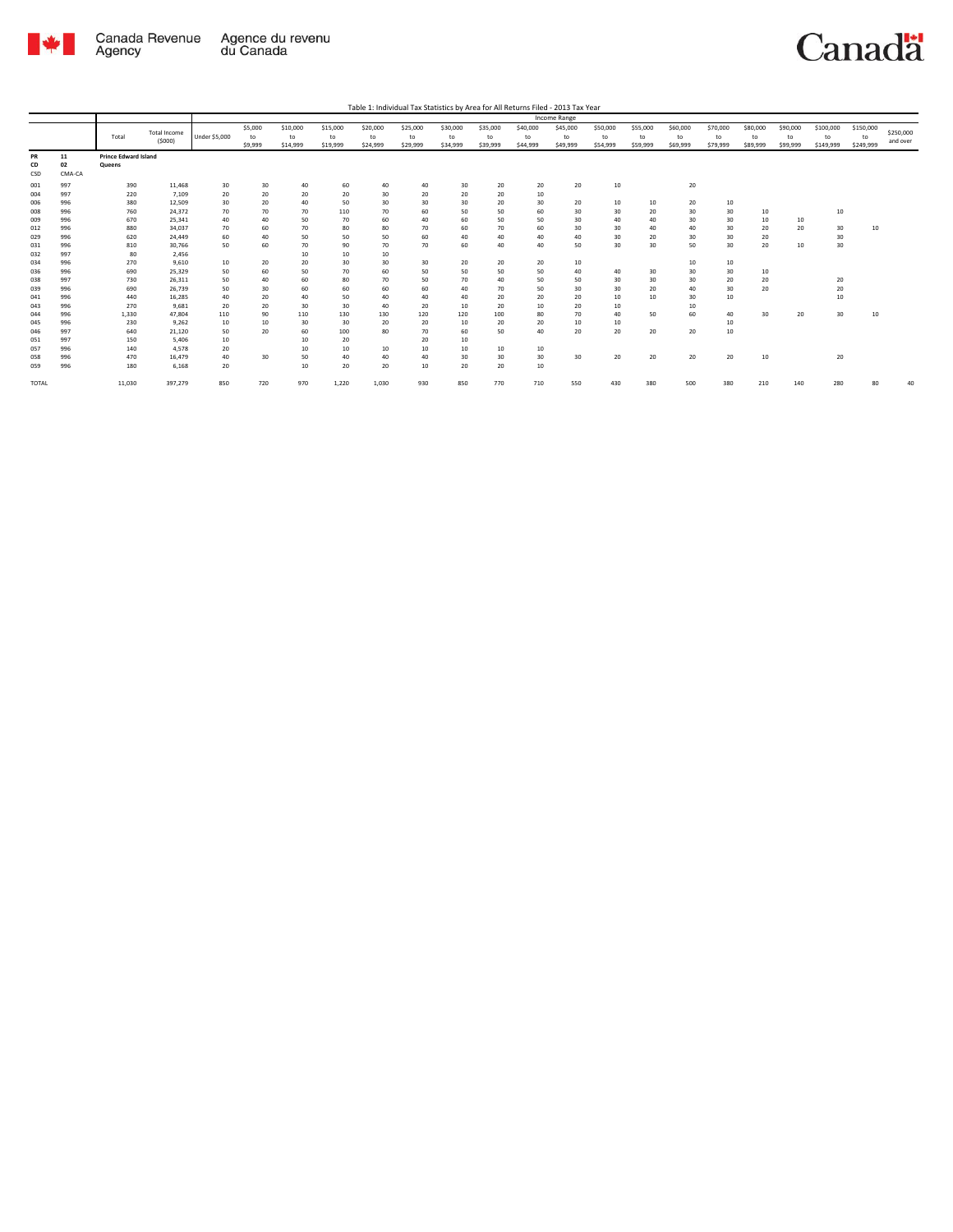

Canadä

Table 1: Individual Tax Statistics by Area for All Returns Filed - 2013 Tax Year

|              |        |                             |                     |                      |         |          |          |          |          |          |          |          | Income Range |          |          |          |          |          |          |           |           |           |
|--------------|--------|-----------------------------|---------------------|----------------------|---------|----------|----------|----------|----------|----------|----------|----------|--------------|----------|----------|----------|----------|----------|----------|-----------|-----------|-----------|
|              |        |                             | <b>Total Income</b> |                      | \$5,000 | \$10,000 | \$15,000 | \$20,000 | \$25,000 | \$30,000 | \$35,000 | \$40,000 | \$45,000     | \$50,000 | \$55,000 | \$60,000 | \$70,000 | \$80,000 | \$90,000 | \$100,000 | \$150,000 | \$250,000 |
|              |        | Total                       | (5000)              | <b>Under \$5,000</b> | to      | to       | to       | to       | to       | to       | to       | to       | to           | to       | to       | to       | to       | to       | to       | to        | to        | and over  |
|              |        |                             |                     |                      | \$9,999 | \$14,999 | \$19,999 | \$24,999 | \$29,999 | \$34,999 | \$39,999 | \$44,999 | \$49,999     | \$54,999 | \$59,999 | \$69,999 | \$79,999 | \$89,999 | \$99,999 | \$149,999 | \$249,999 |           |
| PR           | 11     | <b>Prince Edward Island</b> |                     |                      |         |          |          |          |          |          |          |          |              |          |          |          |          |          |          |           |           |           |
| CD           | 02     | Queens                      |                     |                      |         |          |          |          |          |          |          |          |              |          |          |          |          |          |          |           |           |           |
| CSD          | CMA-CA |                             |                     |                      |         |          |          |          |          |          |          |          |              |          |          |          |          |          |          |           |           |           |
| 001          | 997    | 390                         | 11,468              | 30                   | 30      | 40       | 60       | 40       | 40       | 30       | 20       | 20       | 20           | 10       |          | 20       |          |          |          |           |           |           |
| 004          | 997    | 220                         | 7,109               | 20                   | 20      | 20       | 20       | 30       | 20       | 20       | 20       | 10       |              |          |          |          |          |          |          |           |           |           |
| 006          | 996    | 380                         | 12.509              | 30                   | 20      | 40       | 50       | 30       | 30       | 30       | 20       | 30       | 20           | 10       | 10       | 20       | 10       |          |          |           |           |           |
| 008          | 996    | 760                         | 24,372              | 70                   | 70      | 70       | 110      | 70       | 60       | 50       | 50       | 60       | 30           | 30       | 20       | 30       | 30       | 10       |          | 10        |           |           |
| 009          | 996    | 670                         | 25.341              | 40                   | 40      | 50       | 70       | 60       | 40       | 60       | 50       | 50       | 30           | 40       | 40       | 30       | 30       | 10       | 10       |           |           |           |
| 012          | 996    | 880                         | 34.037              | 70                   | 60      | 70       | 80       | 80       | 70       | 60       | 70       | 60       | 30           | 30       | 40       | 40       | 30       | 20       | 20       | 30        | 10        |           |
| 029          | 996    | 620                         | 24,449              | 60                   | 40      | 50       | 50       | 50       | 60       | 40       | 40       | 40       | 40           | 30       | 20       | 30       | 30       | 20       |          | 30        |           |           |
| 031          | 996    | 810                         | 30.766              | 50                   | 60      | 70       | 90       | 70       | 70       | 60       | 40       | 40       | 50           | 30       | 30       | 50       | 30       | 20       | 10       | 30        |           |           |
| 032          | 997    | 80                          | 2,456               |                      |         | 10       | 10       | 10       |          |          |          |          |              |          |          |          |          |          |          |           |           |           |
| 034          | 996    | 270                         | 9.610               | 10                   | 20      | 20       | 30       | 30       | 30       | 20       | 20       | 20       | 10           |          |          | 10       | 10       |          |          |           |           |           |
| 036          | 996    | 690                         | 25,329              | 50                   | 60      | 50       | 70       | 60       | 50       | 50       | 50       | 50       | 40           | 40       | 30       | 30       | 30       | 10       |          |           |           |           |
| 038          | 997    | 730                         | 26.311              | 50                   | 40      | 60       | 80       | 70       | 50       | 70       | 40       | 50       | 50           | 30       | 30       | 30       | 20       | 20       |          | 20        |           |           |
| 039          | 996    | 690                         | 26.739              | 50                   | 30      | 60       | 60       | 60       | 60       | 40       | 70       | 50       | 30           | 30       | 20       | 40       | 30       | 20       |          | 20        |           |           |
| 041          | 996    | 440                         | 16,285              | 40                   | 20      | 40       | 50       | 40       | 40       | 40       | 20       | 20       | 20           | 10       | 10       | 30       | 10       |          |          | 10        |           |           |
| 043          | 996    | 270                         | 9.681               | 20                   | 20      | 30       | 30       | 40       | 20       | 10       | 20       | 10       | 20           | 10       |          | 10       |          |          |          |           |           |           |
| 044          | 996    | 1,330                       | 47.804              | 110                  | 90      | 110      | 130      | 130      | 120      | 120      | 100      | 80       | 70           | 40       | 50       | 60       | 40       | 30       | 20       | 30        | 10        |           |
| 045          | 996    | 230                         | 9.262               | 10                   | 10      | 30       | 30       | 20       | 20       | 10       | 20       | 20       | 10           | 10       |          |          | 10       |          |          |           |           |           |
| 046          | 997    | 640                         | 21,120              | 50                   | 20      | 60       | 100      | 80       | 70       | 60       | 50       | 40       | 20           | 20       | 20       | 20       | 10       |          |          |           |           |           |
| 051          | 997    | 150                         | 5,406               | 10                   |         | 10       | 20       |          | 20       | 10       |          |          |              |          |          |          |          |          |          |           |           |           |
| 057          | 996    | 140                         | 4.578               | 20                   |         | 10       | 10       | 10       | 10       | 10       | 10       | 10       |              |          |          |          |          |          |          |           |           |           |
| 058          | 996    | 470                         | 16,479              | 40                   | 30      | 50       | 40       | 40       | 40       | 30       | 30       | 30       | 30           | 20       | 20       | 20       | 20       | 10       |          | 20        |           |           |
| 059          | 996    | 180                         | 6.168               | 20                   |         | 10       | 20       | 20       | 10       | 20       | 20       | 10       |              |          |          |          |          |          |          |           |           |           |
| <b>TOTAL</b> |        | 11,030                      | 397,279             | 850                  | 720     | 970      | 1,220    | 1,030    | 930      | 850      | 770      | 710      | 550          | 430      | 380      | 500      | 380      | 210      | 140      | 280       | 80        | 40        |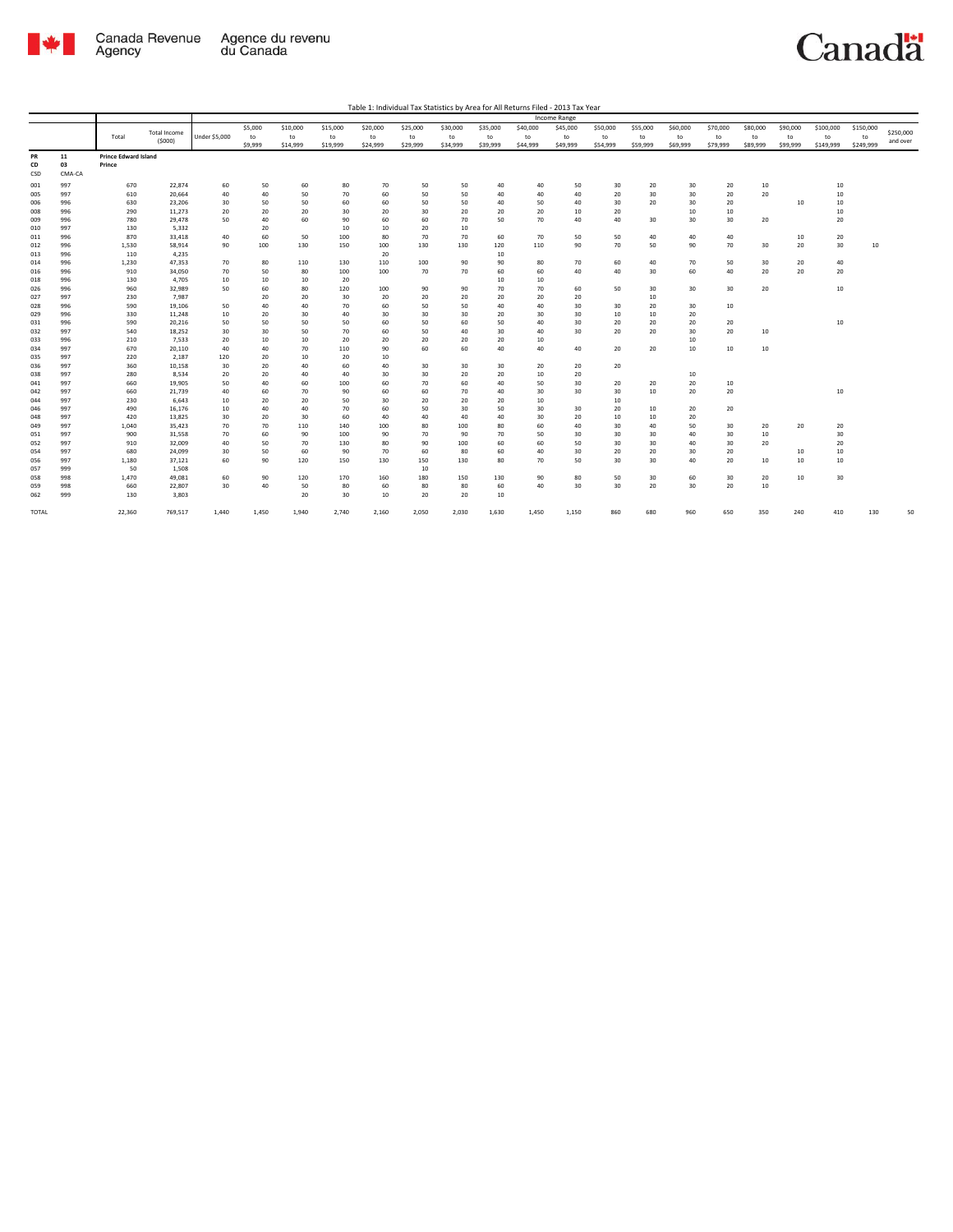

Canadä

| Table 1: Individual Tax Statistics by Area for All Returns Filed - 2013 Tax Year |  |  |
|----------------------------------------------------------------------------------|--|--|
|                                                                                  |  |  |

|                 |                    |                                       |                               |               |                          |                            |                            |                            |                            |                            |                            |                            | <b>Income Range</b>        |                            |                            |                            |                            |                            |                            |                              |                              |                       |
|-----------------|--------------------|---------------------------------------|-------------------------------|---------------|--------------------------|----------------------------|----------------------------|----------------------------|----------------------------|----------------------------|----------------------------|----------------------------|----------------------------|----------------------------|----------------------------|----------------------------|----------------------------|----------------------------|----------------------------|------------------------------|------------------------------|-----------------------|
|                 |                    | Total                                 | <b>Total Income</b><br>(5000) | Under \$5,000 | \$5,000<br>to<br>\$9,999 | \$10,000<br>to<br>\$14,999 | \$15,000<br>to<br>\$19,999 | \$20,000<br>to<br>\$24,999 | \$25,000<br>to<br>\$29,999 | \$30,000<br>to<br>\$34,999 | \$35,000<br>to<br>\$39,999 | \$40,000<br>to<br>\$44,999 | \$45,000<br>to<br>\$49,999 | \$50,000<br>to<br>\$54,999 | \$55,000<br>to<br>\$59,999 | \$60,000<br>to<br>\$69,999 | \$70,000<br>to<br>\$79,999 | \$80,000<br>to<br>\$89,999 | \$90,000<br>to<br>\$99,999 | \$100,000<br>to<br>\$149,999 | \$150,000<br>to<br>\$249,999 | \$250,000<br>and over |
| PR<br>CD<br>CSD | 11<br>03<br>CMA-CA | <b>Prince Edward Island</b><br>Prince |                               |               |                          |                            |                            |                            |                            |                            |                            |                            |                            |                            |                            |                            |                            |                            |                            |                              |                              |                       |
| 001             | 997                | 670                                   | 22.874                        | 60            | 50                       | 60                         | 80                         | 70                         | 50                         | 50                         | 40                         | 40                         | 50                         | 30                         | 20                         | 30                         | 20                         | 10                         |                            | 10                           |                              |                       |
| 005             | 997                | 610                                   | 20,664                        | 40            | 40                       | 50                         | 70                         | 60                         | 50                         | 50                         | 40                         | 40                         | 40                         | 20                         | 30                         | 30                         | 20                         | 20                         |                            | 10                           |                              |                       |
| 006             | 996                | 630                                   | 23,206                        | 30            | 50                       | 50                         | 60                         | 60                         | 50                         | 50                         | 40                         | 50                         | 40                         | 30                         | 20                         | 30                         | 20                         |                            | 10                         | 10                           |                              |                       |
| 008             | 996                | 290                                   | 11,273                        | 20            | 20                       | 20                         | 30                         | 20                         | 30                         | 20                         | 20                         | 20                         | 10                         | 20                         |                            | 10                         | 10                         |                            |                            | 10                           |                              |                       |
| 009             | 996                | 780                                   | 29,478                        | 50            | 40                       | 60                         | 90                         | 60                         | 60                         | 70                         | 50                         | 70                         | 40                         | 40                         | 30                         | 30                         | 30                         | 20                         |                            | 20                           |                              |                       |
| 010             | 997                | 130                                   | 5,332                         |               | 20                       |                            | 10                         | 10                         | 20                         | 10                         |                            |                            |                            |                            |                            |                            |                            |                            |                            |                              |                              |                       |
| 011             | 996                | 870                                   | 33.418                        | 40            | 60                       | 50                         | 100                        | 80                         | 70                         | 70                         | 60                         | 70                         | 50                         | 50                         | 40                         | 40                         | 40                         |                            | 10                         | 20                           |                              |                       |
| 012             | 996                | 1,530                                 | 58,914                        | 90            | 100                      | 130                        | 150                        | 100                        | 130                        | 130                        | 120                        | 110                        | 90                         | 70                         | 50                         | 90                         | 70                         | 30                         | 20                         | 30                           | 10                           |                       |
| 013             | 996<br>996         | 110                                   | 4,235<br>47.353               |               | 80                       |                            |                            | 20                         |                            |                            | 10<br>90                   |                            | 70                         | 60                         | 40                         | 70                         | 50                         | 30                         |                            |                              |                              |                       |
| 014<br>016      | 996                | 1,230<br>910                          | 34,050                        | 70<br>70      | 50                       | 110<br>80                  | 130<br>100                 | 110<br>100                 | 100<br>70                  | 90<br>70                   | 60                         | 80<br>60                   | 40                         | 40                         | 30                         | 60                         | 40                         | 20                         | 20<br>20                   | 40<br>20                     |                              |                       |
| 018             | 996                | 130                                   | 4,705                         | 10            | 10                       | 10                         | 20                         |                            |                            |                            | 10                         | 10                         |                            |                            |                            |                            |                            |                            |                            |                              |                              |                       |
| 026             | 996                | 960                                   | 32,989                        | 50            | 60                       | 80                         | 120                        | 100                        | 90                         | 90                         | 70                         | 70                         | 60                         | 50                         | 30                         | 30                         | 30                         | 20                         |                            | 10                           |                              |                       |
| 027             | 997                | 230                                   | 7,987                         |               | 20                       | 20                         | 30                         | 20                         | 20                         | 20                         | 20                         | 20                         | 20                         |                            | $10\,$                     |                            |                            |                            |                            |                              |                              |                       |
| 028             | 996                | 590                                   | 19,106                        | 50            | 40                       | 40                         | 70                         | 60                         | 50                         | 50                         | 40                         | 40                         | 30                         | 30                         | 20                         | 30                         | 10                         |                            |                            |                              |                              |                       |
| 029             | 996                | 330                                   | 11,248                        | 10            | 20                       | 30                         | 40                         | 30                         | 30                         | 30                         | 20                         | 30                         | 30                         | 10                         | $10\,$                     | 20                         |                            |                            |                            |                              |                              |                       |
| 031             | 996                | 590                                   | 20,216                        | 50            | 50                       | 50                         | 50                         | 60                         | 50                         | 60                         | 50                         | 40                         | 30                         | 20                         | 20                         | 20                         | 20                         |                            |                            | 10                           |                              |                       |
| 032             | 997                | 540                                   | 18,252                        | 30            | 30                       | 50                         | 70                         | 60                         | 50                         | 40                         | 30                         | 40                         | 30                         | 20                         | 20                         | 30                         | 20                         | $10\,$                     |                            |                              |                              |                       |
| 033             | 996                | 210                                   | 7,533                         | 20            | 10                       | 10                         | 20                         | 20                         | 20                         | 20                         | 20                         | 10                         |                            |                            |                            | 10                         |                            |                            |                            |                              |                              |                       |
| 034             | 997                | 670                                   | 20,110                        | 40            | 40                       | 70                         | 110                        | 90                         | 60                         | 60                         | 40                         | 40                         | 40                         | 20                         | 20                         | 10                         | 10                         | 10                         |                            |                              |                              |                       |
| 035             | 997                | 220                                   | 2,187                         | 120           | 20                       | 10                         | 20                         | 10                         |                            |                            |                            |                            |                            |                            |                            |                            |                            |                            |                            |                              |                              |                       |
| 036             | 997                | 360                                   | 10,158                        | 30            | 20                       | 40                         | 60                         | 40                         | 30                         | 30                         | 30                         | 20                         | 20                         | 20                         |                            |                            |                            |                            |                            |                              |                              |                       |
| 038             | 997                | 280                                   | 8,534                         | 20            | 20                       | 40                         | 40                         | 30                         | 30                         | 20                         | 20                         | 10                         | 20                         |                            |                            | 10                         |                            |                            |                            |                              |                              |                       |
| 041             | 997                | 660                                   | 19.905                        | 50            | 40                       | 60                         | 100                        | 60                         | 70                         | 60                         | 40                         | 50                         | 30                         | 20                         | 20                         | 20                         | 10                         |                            |                            |                              |                              |                       |
| 042             | 997                | 660                                   | 21,739                        | 40            | 60                       | 70                         | 90                         | 60                         | 60                         | 70                         | 40                         | 30                         | 30                         | 30                         | $10\,$                     | 20                         | 20                         |                            |                            | 10                           |                              |                       |
| 044             | 997                | 230                                   | 6,643                         | 10            | 20                       | 20                         | 50                         | 30                         | 20                         | 20                         | 20                         | 10                         |                            | 10                         |                            |                            |                            |                            |                            |                              |                              |                       |
| 046             | 997<br>997         | 490<br>420                            | 16,176<br>13,825              | 10<br>30      | 40<br>20                 | 40<br>30                   | 70<br>60                   | 60<br>40                   | 50<br>40                   | 30<br>40                   | 50<br>40                   | 30<br>30                   | 30<br>20                   | 20<br>10                   | 10<br>$10\,$               | 20<br>20                   | 20                         |                            |                            |                              |                              |                       |
| 048<br>049      | 997                | 1,040                                 | 35,423                        | 70            | 70                       | 110                        | 140                        | 100                        | 80                         | 100                        | 80                         | 60                         | 40                         | 30                         | 40                         | 50                         | 30                         | 20                         | 20                         | 20                           |                              |                       |
| 051             | 997                | 900                                   | 31,558                        | 70            | 60                       | 90                         | 100                        | 90                         | 70                         | 90                         | 70                         | 50                         | 30                         | 30                         | 30                         | 40                         | 30                         | 10                         |                            | 30                           |                              |                       |
| 052             | 997                | 910                                   | 32,009                        | 40            | 50                       | 70                         | 130                        | 80                         | 90                         | 100                        | 60                         | 60                         | 50                         | 30                         | 30                         | 40                         | 30                         | 20                         |                            | 20                           |                              |                       |
| 054             | 997                | 680                                   | 24,099                        | 30            | 50                       | 60                         | 90                         | 70                         | 60                         | 80                         | 60                         | 40                         | 30                         | 20                         | 20                         | 30                         | 20                         |                            | 10                         | 10                           |                              |                       |
| 056             | 997                | 1,180                                 | 37,121                        | 60            | 90                       | 120                        | 150                        | 130                        | 150                        | 130                        | 80                         | 70                         | 50                         | 30                         | 30                         | 40                         | 20                         | 10                         | 10                         | 10                           |                              |                       |
| 057             | 999                | 50                                    | 1,508                         |               |                          |                            |                            |                            | 10                         |                            |                            |                            |                            |                            |                            |                            |                            |                            |                            |                              |                              |                       |
| 058             | 998                | 1.470                                 | 49,081                        | 60            | 90                       | 120                        | 170                        | 160                        | 180                        | 150                        | 130                        | 90                         | 80                         | 50                         | 30                         | 60                         | 30                         | 20                         | 10                         | 30                           |                              |                       |
| 059             | 998                | 660                                   | 22,807                        | 30            | 40                       | 50                         | 80                         | 60                         | 80                         | 80                         | 60                         | 40                         | 30                         | 30                         | 20                         | 30                         | 20                         | 10                         |                            |                              |                              |                       |
| 062             | 999                | 130                                   | 3,803                         |               |                          | 20                         | 30                         | 10                         | 20                         | 20                         | 10                         |                            |                            |                            |                            |                            |                            |                            |                            |                              |                              |                       |
| <b>TOTAL</b>    |                    | 22,360                                | 769,517                       | 1,440         | 1,450                    | 1,940                      | 2,740                      | 2,160                      | 2,050                      | 2,030                      | 1,630                      | 1,450                      | 1,150                      | 860                        | 680                        | 960                        | 650                        | 350                        | 240                        | 410                          | 130                          | 50                    |